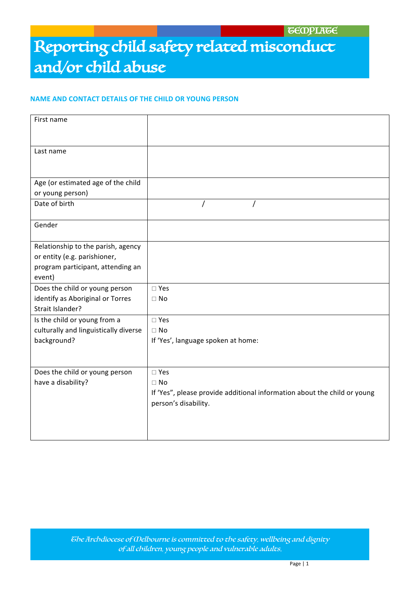#### **NAME AND CONTACT DETAILS OF THE CHILD OR YOUNG PERSON**

| First name                            |                                                                          |
|---------------------------------------|--------------------------------------------------------------------------|
| Last name                             |                                                                          |
| Age (or estimated age of the child    |                                                                          |
| or young person)                      |                                                                          |
| Date of birth                         | T                                                                        |
| Gender                                |                                                                          |
| Relationship to the parish, agency    |                                                                          |
| or entity (e.g. parishioner,          |                                                                          |
| program participant, attending an     |                                                                          |
| event)                                |                                                                          |
| Does the child or young person        | $\square$ Yes                                                            |
| identify as Aboriginal or Torres      | $\Box$ No                                                                |
| Strait Islander?                      |                                                                          |
| Is the child or young from a          | $\square$ Yes                                                            |
| culturally and linguistically diverse | $\Box$ No                                                                |
| background?                           | If 'Yes', language spoken at home:                                       |
|                                       |                                                                          |
| Does the child or young person        | $\square$ Yes                                                            |
| have a disability?                    | $\Box$ No                                                                |
|                                       | If 'Yes", please provide additional information about the child or young |
|                                       | person's disability.                                                     |
|                                       |                                                                          |
|                                       |                                                                          |
|                                       |                                                                          |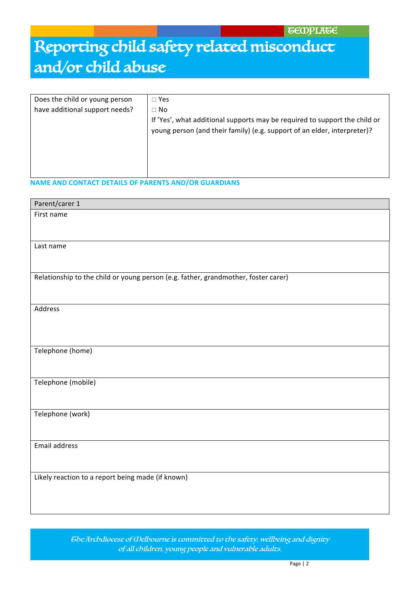| Does the child or young person | $\Box$ Yes                                                                                                                                                          |  |
|--------------------------------|---------------------------------------------------------------------------------------------------------------------------------------------------------------------|--|
| have additional support needs? | $\Box$ No<br>If 'Yes', what additional supports may be required to support the child or<br>young person (and their family) (e.g. support of an elder, interpreter)? |  |
|                                |                                                                                                                                                                     |  |

### **NAME AND CONTACT DETAILS OF PARENTS AND/OR GUARDIANS**

| Parent/carer 1                                                                     |
|------------------------------------------------------------------------------------|
| First name                                                                         |
|                                                                                    |
|                                                                                    |
| Last name                                                                          |
|                                                                                    |
|                                                                                    |
| Relationship to the child or young person (e.g. father, grandmother, foster carer) |
|                                                                                    |
|                                                                                    |
| Address                                                                            |
|                                                                                    |
|                                                                                    |
| Telephone (home)                                                                   |
|                                                                                    |
|                                                                                    |
| Telephone (mobile)                                                                 |
|                                                                                    |
|                                                                                    |
| Telephone (work)                                                                   |
|                                                                                    |
|                                                                                    |
| Email address                                                                      |
|                                                                                    |
|                                                                                    |
|                                                                                    |
|                                                                                    |
|                                                                                    |
| Likely reaction to a report being made (if known)                                  |

The Archdiocese of Melbourne is committed to the safety, wellbeing and dignity of all children, young people and vulnerable adults.  $C_1$  and  $C_2$  and  $C_3$  and  $C_4$  and  $C_5$  and  $C_7$  and  $C_8$  and  $C_9$  and  $C_9$  and  $C_9$  and  $C_9$  and  $C_9$  and  $C_9$  and  $C_9$  and  $C_9$  and  $C_9$  and  $C_9$  and  $C_9$  and  $C_9$  and  $C_9$  and  $C_9$  and  $C_9$  and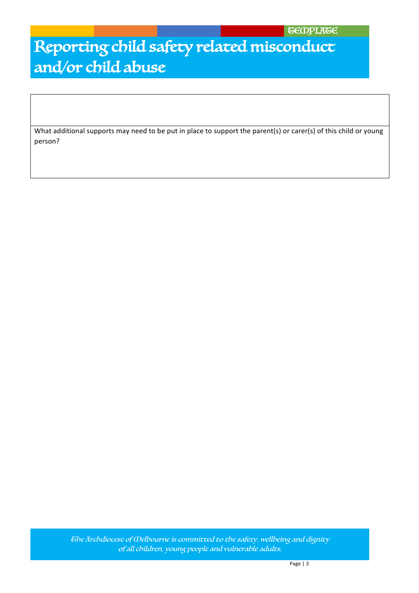What additional supports may need to be put in place to support the parent(s) or carer(s) of this child or young person?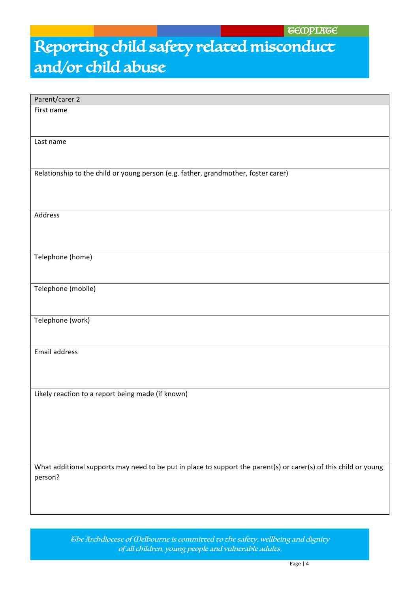| Parent/carer 2                                                                                                   |
|------------------------------------------------------------------------------------------------------------------|
| First name                                                                                                       |
|                                                                                                                  |
|                                                                                                                  |
| Last name                                                                                                        |
|                                                                                                                  |
|                                                                                                                  |
| Relationship to the child or young person (e.g. father, grandmother, foster carer)                               |
|                                                                                                                  |
|                                                                                                                  |
|                                                                                                                  |
| Address                                                                                                          |
|                                                                                                                  |
|                                                                                                                  |
| Telephone (home)                                                                                                 |
|                                                                                                                  |
|                                                                                                                  |
| Telephone (mobile)                                                                                               |
|                                                                                                                  |
|                                                                                                                  |
| Telephone (work)                                                                                                 |
|                                                                                                                  |
|                                                                                                                  |
| Email address                                                                                                    |
|                                                                                                                  |
|                                                                                                                  |
| Likely reaction to a report being made (if known)                                                                |
|                                                                                                                  |
|                                                                                                                  |
|                                                                                                                  |
|                                                                                                                  |
|                                                                                                                  |
|                                                                                                                  |
| What additional supports may need to be put in place to support the parent(s) or carer(s) of this child or young |
| person?                                                                                                          |
|                                                                                                                  |
|                                                                                                                  |
|                                                                                                                  |

The Archdiocese of Melbourne is committed to the safety, wellbeing and dignity of all children, young people and vulnerable adults.  $C_1$  and  $C_2$  and  $C_3$  and  $C_4$  and  $C_5$  and  $C_6$  and  $C_7$  and  $C_8$  and  $C_9$  and  $C_9$  and  $C_9$  and  $C_9$  and  $C_9$  and  $C_9$  and  $C_9$  and  $C_9$  and  $C_9$  and  $C_9$  and  $C_9$  and  $C_9$  and  $C_9$  and  $C_9$  and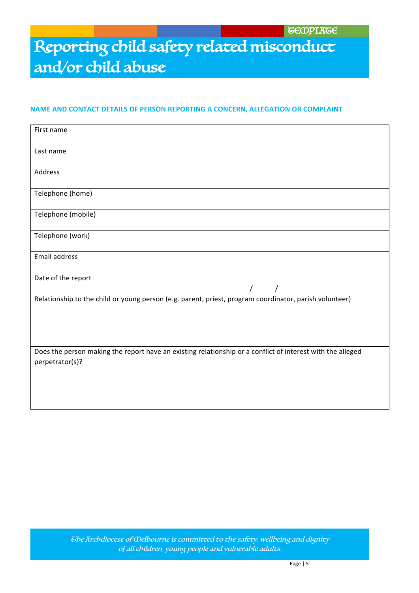### **NAME AND CONTACT DETAILS OF PERSON REPORTING A CONCERN, ALLEGATION OR COMPLAINT**

| First name                                                                                                                    |  |  |
|-------------------------------------------------------------------------------------------------------------------------------|--|--|
| Last name                                                                                                                     |  |  |
| Address                                                                                                                       |  |  |
| Telephone (home)                                                                                                              |  |  |
| Telephone (mobile)                                                                                                            |  |  |
| Telephone (work)                                                                                                              |  |  |
| Email address                                                                                                                 |  |  |
| Date of the report                                                                                                            |  |  |
| Relationship to the child or young person (e.g. parent, priest, program coordinator, parish volunteer)                        |  |  |
| Does the person making the report have an existing relationship or a conflict of interest with the alleged<br>perpetrator(s)? |  |  |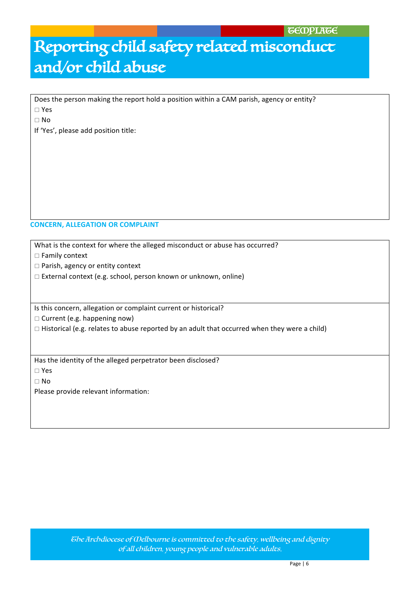Does the person making the report hold a position within a CAM parish, agency or entity?

 $\Box$  Yes

 $\Box$  No

If 'Yes', please add position title:

#### **CONCERN, ALLEGATION OR COMPLAINT**

What is the context for where the alleged misconduct or abuse has occurred?

 $\Box$  Family context

 $\Box$  Parish, agency or entity context

 $\Box$  External context (e.g. school, person known or unknown, online)

Is this concern, allegation or complaint current or historical?

 $\Box$  Current (e.g. happening now)

 $\Box$  Historical (e.g. relates to abuse reported by an adult that occurred when they were a child)

Has the identity of the alleged perpetrator been disclosed?

 $\square$  Yes

 $\Box$  No

Please provide relevant information: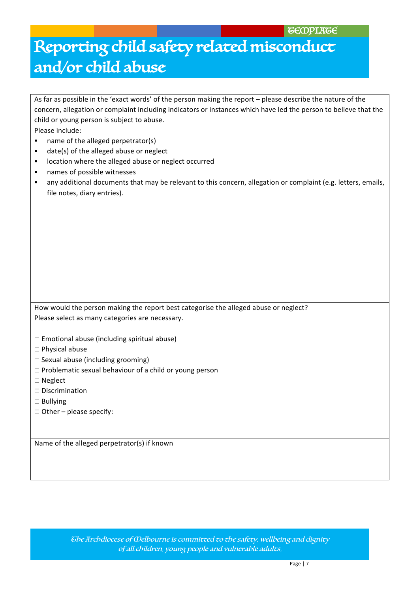| As far as possible in the 'exact words' of the person making the report - please describe the nature of the        |
|--------------------------------------------------------------------------------------------------------------------|
| concern, allegation or complaint including indicators or instances which have led the person to believe that the   |
| child or young person is subject to abuse.                                                                         |
| Please include:                                                                                                    |
| name of the alleged perpetrator(s)<br>٠                                                                            |
| date(s) of the alleged abuse or neglect<br>٠                                                                       |
| location where the alleged abuse or neglect occurred<br>$\blacksquare$                                             |
| names of possible witnesses<br>٠                                                                                   |
| any additional documents that may be relevant to this concern, allegation or complaint (e.g. letters, emails,<br>٠ |
| file notes, diary entries).                                                                                        |
|                                                                                                                    |
|                                                                                                                    |
|                                                                                                                    |
|                                                                                                                    |
|                                                                                                                    |
|                                                                                                                    |
|                                                                                                                    |
|                                                                                                                    |
|                                                                                                                    |
|                                                                                                                    |
| How would the person making the report best categorise the alleged abuse or neglect?                               |
| Please select as many categories are necessary.                                                                    |
|                                                                                                                    |
| $\square$ Emotional abuse (including spiritual abuse)                                                              |
| $\square$ Physical abuse                                                                                           |
| $\Box$ Sexual abuse (including grooming)                                                                           |
| $\Box$ Problematic sexual behaviour of a child or young person                                                     |
| □ Neglect                                                                                                          |
| $\square$ Discrimination                                                                                           |
| $\square$ Bullying                                                                                                 |
| $\Box$ Other – please specify:                                                                                     |
|                                                                                                                    |

Name of the alleged perpetrator(s) if known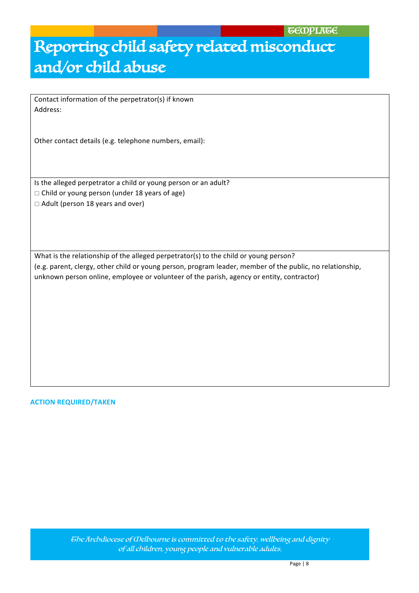Contact information of the perpetrator(s) if known Address:

Other contact details (e.g. telephone numbers, email):

Is the alleged perpetrator a child or young person or an adult?

- $\Box$  Child or young person (under 18 years of age)
- $\Box$  Adult (person 18 years and over)

What is the relationship of the alleged perpetrator(s) to the child or young person? (e.g. parent, clergy, other child or young person, program leader, member of the public, no relationship, unknown person online, employee or volunteer of the parish, agency or entity, contractor)

#### **ACTION REQUIRED/TAKEN**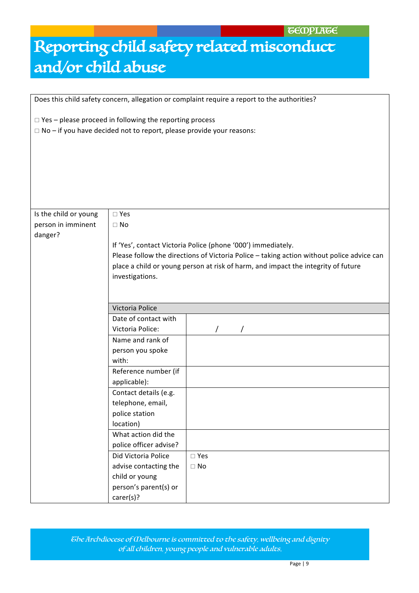**TECOPLATE** 

# Reporting child safety related misconduct and/or child abuse

Does this child safety concern, allegation or complaint require a report to the authorities?

| $\Box$ Yes – please proceed in following the reporting process<br>$\Box$ No – if you have decided not to report, please provide your reasons: |                                                                                                                                                                                                                                                |               |  |
|-----------------------------------------------------------------------------------------------------------------------------------------------|------------------------------------------------------------------------------------------------------------------------------------------------------------------------------------------------------------------------------------------------|---------------|--|
|                                                                                                                                               |                                                                                                                                                                                                                                                |               |  |
|                                                                                                                                               |                                                                                                                                                                                                                                                |               |  |
|                                                                                                                                               |                                                                                                                                                                                                                                                |               |  |
| Is the child or young                                                                                                                         | $\square$ Yes                                                                                                                                                                                                                                  |               |  |
| person in imminent                                                                                                                            | $\Box$ No                                                                                                                                                                                                                                      |               |  |
| danger?                                                                                                                                       |                                                                                                                                                                                                                                                |               |  |
|                                                                                                                                               | If 'Yes', contact Victoria Police (phone '000') immediately.<br>Please follow the directions of Victoria Police - taking action without police advice can<br>place a child or young person at risk of harm, and impact the integrity of future |               |  |
|                                                                                                                                               |                                                                                                                                                                                                                                                |               |  |
|                                                                                                                                               |                                                                                                                                                                                                                                                |               |  |
|                                                                                                                                               | investigations.                                                                                                                                                                                                                                |               |  |
|                                                                                                                                               |                                                                                                                                                                                                                                                |               |  |
|                                                                                                                                               | Victoria Police                                                                                                                                                                                                                                |               |  |
|                                                                                                                                               | Date of contact with                                                                                                                                                                                                                           |               |  |
|                                                                                                                                               | Victoria Police:                                                                                                                                                                                                                               |               |  |
|                                                                                                                                               | Name and rank of                                                                                                                                                                                                                               |               |  |
|                                                                                                                                               | person you spoke                                                                                                                                                                                                                               |               |  |
|                                                                                                                                               | with:                                                                                                                                                                                                                                          |               |  |
|                                                                                                                                               | Reference number (if                                                                                                                                                                                                                           |               |  |
|                                                                                                                                               | applicable):                                                                                                                                                                                                                                   |               |  |
|                                                                                                                                               | Contact details (e.g.                                                                                                                                                                                                                          |               |  |
|                                                                                                                                               | telephone, email,                                                                                                                                                                                                                              |               |  |
|                                                                                                                                               | police station                                                                                                                                                                                                                                 |               |  |
|                                                                                                                                               | location)                                                                                                                                                                                                                                      |               |  |
|                                                                                                                                               | What action did the                                                                                                                                                                                                                            |               |  |
|                                                                                                                                               |                                                                                                                                                                                                                                                |               |  |
|                                                                                                                                               | police officer advise?                                                                                                                                                                                                                         |               |  |
|                                                                                                                                               | Did Victoria Police                                                                                                                                                                                                                            | $\square$ Yes |  |
|                                                                                                                                               | advise contacting the                                                                                                                                                                                                                          | $\Box$ No     |  |
|                                                                                                                                               | child or young<br>person's parent(s) or                                                                                                                                                                                                        |               |  |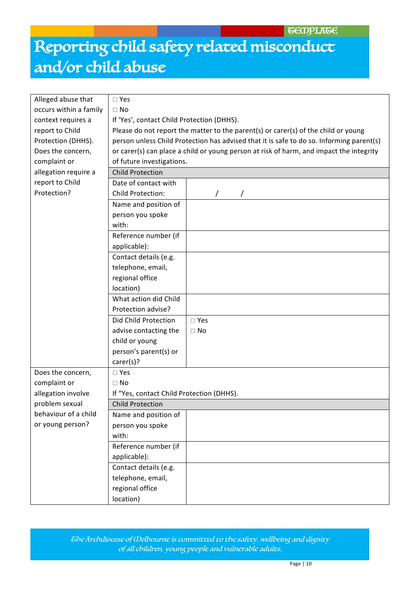| Alleged abuse that     | $\square$ Yes                              |                                                                                          |  |
|------------------------|--------------------------------------------|------------------------------------------------------------------------------------------|--|
| occurs within a family | $\Box$ No                                  |                                                                                          |  |
| context requires a     | If 'Yes', contact Child Protection (DHHS). |                                                                                          |  |
| report to Child        |                                            | Please do not report the matter to the parent(s) or carer(s) of the child or young       |  |
| Protection (DHHS).     |                                            | person unless Child Protection has advised that it is safe to do so. Informing parent(s) |  |
| Does the concern,      |                                            | or carer(s) can place a child or young person at risk of harm, and impact the integrity  |  |
| complaint or           | of future investigations.                  |                                                                                          |  |
| allegation require a   | <b>Child Protection</b>                    |                                                                                          |  |
| report to Child        | Date of contact with                       |                                                                                          |  |
| Protection?            | <b>Child Protection:</b>                   |                                                                                          |  |
|                        | Name and position of                       |                                                                                          |  |
|                        | person you spoke                           |                                                                                          |  |
|                        | with:                                      |                                                                                          |  |
|                        | Reference number (if                       |                                                                                          |  |
|                        | applicable):                               |                                                                                          |  |
|                        | Contact details (e.g.                      |                                                                                          |  |
|                        | telephone, email,                          |                                                                                          |  |
|                        | regional office                            |                                                                                          |  |
|                        | location)                                  |                                                                                          |  |
|                        | What action did Child                      |                                                                                          |  |
|                        | Protection advise?                         |                                                                                          |  |
|                        | Did Child Protection                       | $\square$ Yes                                                                            |  |
|                        | advise contacting the                      | $\Box$ No                                                                                |  |
|                        | child or young                             |                                                                                          |  |
|                        | person's parent(s) or                      |                                                                                          |  |
|                        | carer(s)?                                  |                                                                                          |  |
| Does the concern,      | $\square$ Yes                              |                                                                                          |  |
| complaint or           | $\Box$ No                                  |                                                                                          |  |
| allegation involve     | If "Yes, contact Child Protection (DHHS).  |                                                                                          |  |
| problem sexual         | <b>Child Protection</b>                    |                                                                                          |  |
| behaviour of a child   | Name and position of                       |                                                                                          |  |
| or young person?       | person you spoke                           |                                                                                          |  |
|                        | with:                                      |                                                                                          |  |
|                        | Reference number (if                       |                                                                                          |  |
|                        | applicable):                               |                                                                                          |  |
|                        | Contact details (e.g.                      |                                                                                          |  |
|                        | telephone, email,                          |                                                                                          |  |
|                        | regional office                            |                                                                                          |  |
|                        | location)                                  |                                                                                          |  |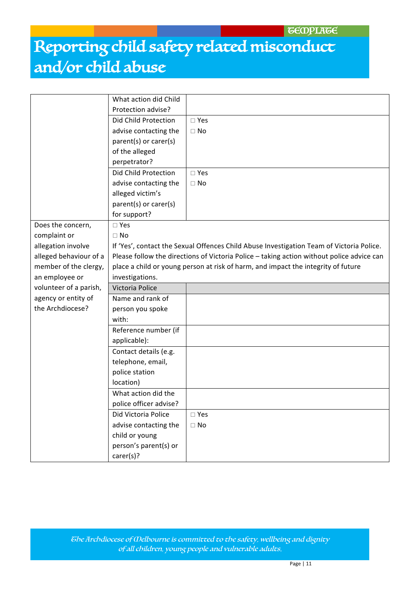|                        | What action did Child                                                                     |               |  |
|------------------------|-------------------------------------------------------------------------------------------|---------------|--|
|                        | Protection advise?                                                                        |               |  |
|                        | Did Child Protection                                                                      | $\square$ Yes |  |
|                        | advise contacting the                                                                     | $\Box$ No     |  |
|                        | parent(s) or carer(s)                                                                     |               |  |
|                        | of the alleged                                                                            |               |  |
|                        | perpetrator?                                                                              |               |  |
|                        | Did Child Protection                                                                      | $\square$ Yes |  |
|                        | advise contacting the                                                                     | $\Box$ No     |  |
|                        | alleged victim's                                                                          |               |  |
|                        | parent(s) or carer(s)                                                                     |               |  |
|                        | for support?                                                                              |               |  |
| Does the concern,      | $\square$ Yes                                                                             |               |  |
| complaint or           | $\Box$ No                                                                                 |               |  |
| allegation involve     | If 'Yes', contact the Sexual Offences Child Abuse Investigation Team of Victoria Police.  |               |  |
| alleged behaviour of a | Please follow the directions of Victoria Police - taking action without police advice can |               |  |
| member of the clergy,  | place a child or young person at risk of harm, and impact the integrity of future         |               |  |
| an employee or         | investigations.                                                                           |               |  |
| volunteer of a parish, | Victoria Police                                                                           |               |  |
| agency or entity of    | Name and rank of                                                                          |               |  |
| the Archdiocese?       | person you spoke                                                                          |               |  |
|                        | with:                                                                                     |               |  |
|                        | Reference number (if                                                                      |               |  |
|                        | applicable):                                                                              |               |  |
|                        | Contact details (e.g.                                                                     |               |  |
|                        | telephone, email,                                                                         |               |  |
|                        | police station                                                                            |               |  |
|                        | location)                                                                                 |               |  |
|                        | What action did the                                                                       |               |  |
|                        | police officer advise?                                                                    |               |  |
|                        | Did Victoria Police                                                                       | $\square$ Yes |  |
|                        | advise contacting the                                                                     | $\Box$ No     |  |
|                        | child or young                                                                            |               |  |
|                        | person's parent(s) or                                                                     |               |  |
|                        | carer(s)?                                                                                 |               |  |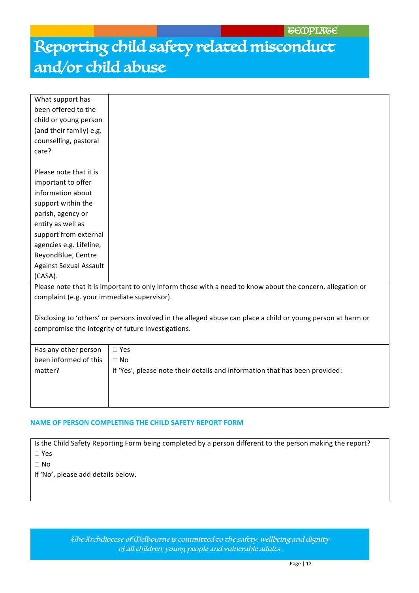**GEOPLAGE** 

# Reporting child safety related misconduct and/or child abuse

| What support has                                   |                                                                                                              |  |
|----------------------------------------------------|--------------------------------------------------------------------------------------------------------------|--|
| been offered to the                                |                                                                                                              |  |
| child or young person                              |                                                                                                              |  |
| (and their family) e.g.                            |                                                                                                              |  |
| counselling, pastoral                              |                                                                                                              |  |
| care?                                              |                                                                                                              |  |
|                                                    |                                                                                                              |  |
| Please note that it is                             |                                                                                                              |  |
| important to offer                                 |                                                                                                              |  |
| information about                                  |                                                                                                              |  |
| support within the                                 |                                                                                                              |  |
| parish, agency or                                  |                                                                                                              |  |
| entity as well as                                  |                                                                                                              |  |
| support from external                              |                                                                                                              |  |
| agencies e.g. Lifeline,                            |                                                                                                              |  |
| BeyondBlue, Centre                                 |                                                                                                              |  |
| <b>Against Sexual Assault</b>                      |                                                                                                              |  |
| (CASA).                                            |                                                                                                              |  |
|                                                    | Please note that it is important to only inform those with a need to know about the concern, allegation or   |  |
| complaint (e.g. your immediate supervisor).        |                                                                                                              |  |
|                                                    |                                                                                                              |  |
|                                                    | Disclosing to 'others' or persons involved in the alleged abuse can place a child or young person at harm or |  |
| compromise the integrity of future investigations. |                                                                                                              |  |
|                                                    |                                                                                                              |  |
| Has any other person                               | $\square$ Yes                                                                                                |  |
| been informed of this                              | $\Box$ No                                                                                                    |  |
| matter?                                            | If 'Yes', please note their details and information that has been provided:                                  |  |
|                                                    |                                                                                                              |  |
|                                                    |                                                                                                              |  |
|                                                    |                                                                                                              |  |

#### **NAME OF PERSON COMPLETING THE CHILD SAFETY REPORT FORM**

Is the Child Safety Reporting Form being completed by a person different to the person making the report?  $\square$  Yes

 $\Box$  No

If 'No', please add details below.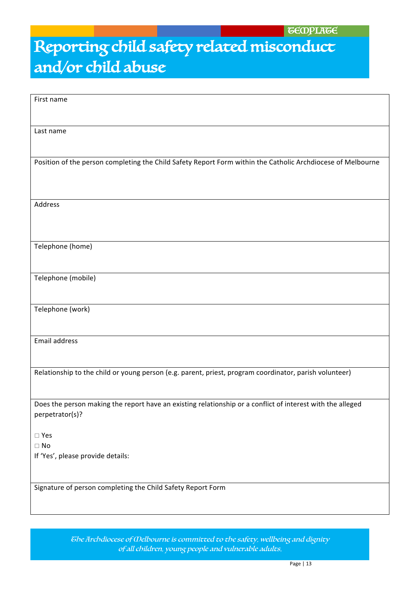| First name                                                                                                  |
|-------------------------------------------------------------------------------------------------------------|
|                                                                                                             |
|                                                                                                             |
|                                                                                                             |
| Last name                                                                                                   |
|                                                                                                             |
|                                                                                                             |
| Position of the person completing the Child Safety Report Form within the Catholic Archdiocese of Melbourne |
|                                                                                                             |
|                                                                                                             |
|                                                                                                             |
|                                                                                                             |
| Address                                                                                                     |
|                                                                                                             |
|                                                                                                             |
|                                                                                                             |
|                                                                                                             |
| Telephone (home)                                                                                            |
|                                                                                                             |
|                                                                                                             |
|                                                                                                             |
| Telephone (mobile)                                                                                          |
|                                                                                                             |
|                                                                                                             |
| Telephone (work)                                                                                            |
|                                                                                                             |
|                                                                                                             |
|                                                                                                             |
| Email address                                                                                               |
|                                                                                                             |
|                                                                                                             |
| Relationship to the child or young person (e.g. parent, priest, program coordinator, parish volunteer)      |
|                                                                                                             |
|                                                                                                             |
|                                                                                                             |
| Does the person making the report have an existing relationship or a conflict of interest with the alleged  |
| perpetrator(s)?                                                                                             |
|                                                                                                             |
| $\square$ Yes                                                                                               |
| $\Box$ No                                                                                                   |
|                                                                                                             |
| If 'Yes', please provide details:                                                                           |
|                                                                                                             |
|                                                                                                             |
| Signature of person completing the Child Safety Report Form                                                 |
|                                                                                                             |
|                                                                                                             |

The Archdiocese of Melbourne is committed to the safety, wellbeing and dignity of all children, young people and vulnerable adults. Child Page | 13<br>Page | 13